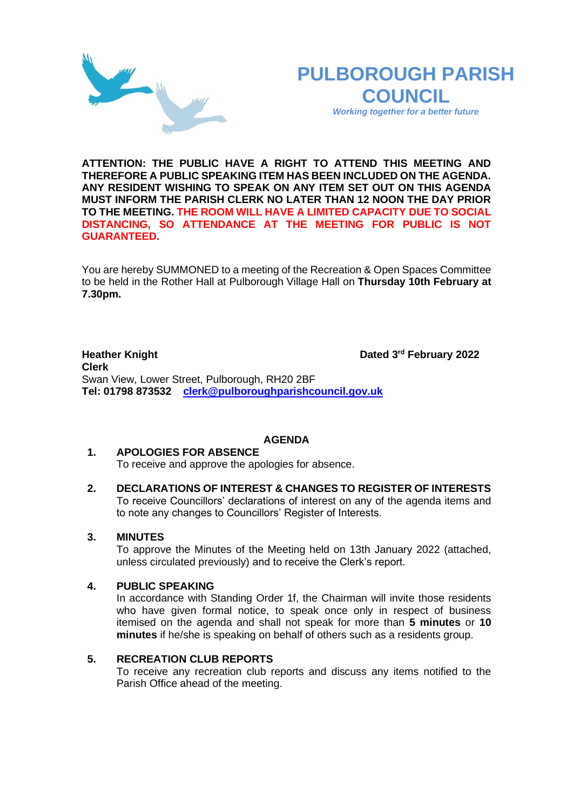# **PULBOROUGH PARISH COUNCIL**

*Working together for a better future*

**ATTENTION: THE PUBLIC HAVE A RIGHT TO ATTEND THIS MEETING AND THEREFORE A PUBLIC SPEAKING ITEM HAS BEEN INCLUDED ON THE AGENDA. ANY RESIDENT WISHING TO SPEAK ON ANY ITEM SET OUT ON THIS AGENDA MUST INFORM THE PARISH CLERK NO LATER THAN 12 NOON THE DAY PRIOR TO THE MEETING. THE ROOM WILL HAVE A LIMITED CAPACITY DUE TO SOCIAL DISTANCING, SO ATTENDANCE AT THE MEETING FOR PUBLIC IS NOT GUARANTEED.**

You are hereby SUMMONED to a meeting of the Recreation & Open Spaces Committee to be held in the Rother Hall at Pulborough Village Hall on **Thursday 10th February at 7.30pm.** 

**Heather Knight Dated 3rd February 2022 Clerk**  Swan View, Lower Street, Pulborough, RH20 2BF **Tel: 01798 873532 [clerk@pulboroughparishcouncil.gov.uk](mailto:clerk@pulboroughparishcouncil.gov.uk)**

## **AGENDA**

# **1. APOLOGIES FOR ABSENCE**

- To receive and approve the apologies for absence.
- **2. DECLARATIONS OF INTEREST & CHANGES TO REGISTER OF INTERESTS** To receive Councillors' declarations of interest on any of the agenda items and to note any changes to Councillors' Register of Interests.

## **3. MINUTES**

To approve the Minutes of the Meeting held on 13th January 2022 (attached, unless circulated previously) and to receive the Clerk's report.

#### **4. PUBLIC SPEAKING**

In accordance with Standing Order 1f, the Chairman will invite those residents who have given formal notice, to speak once only in respect of business itemised on the agenda and shall not speak for more than **5 minutes** or **10 minutes** if he/she is speaking on behalf of others such as a residents group.

#### **5. RECREATION CLUB REPORTS**

To receive any recreation club reports and discuss any items notified to the Parish Office ahead of the meeting.